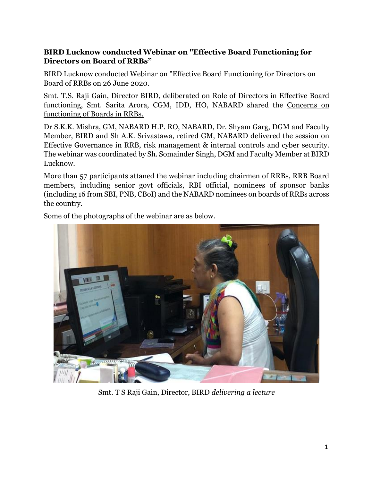## **BIRD Lucknow conducted Webinar on "Effective Board Functioning for Directors on Board of RRBs"**

BIRD Lucknow conducted Webinar on "Effective Board Functioning for Directors on Board of RRBs on 26 June 2020.

Smt. T.S. Raji Gain, Director BIRD, deliberated on Role of Directors in Effective Board functioning, Smt. Sarita Arora, CGM, IDD, HO, NABARD shared the Concerns on functioning of Boards in RRBs.

Dr S.K.K. Mishra, GM, NABARD H.P. RO, NABARD, Dr. Shyam Garg, DGM and Faculty Member, BIRD and Sh A.K. Srivastawa, retired GM, NABARD delivered the session on Effective Governance in RRB, risk management & internal controls and cyber security. The webinar was coordinated by Sh. Somainder Singh, DGM and Faculty Member at BIRD Lucknow.

More than 57 participants attaned the webinar including chairmen of RRBs, RRB Board members, including senior govt officials, RBI official, nominees of sponsor banks (including 16 from SBI, PNB, CBoI) and the NABARD nominees on boards of RRBs across the country.



Some of the photographs of the webinar are as below.

Smt. T S Raji Gain, Director, BIRD *delivering a lecture*